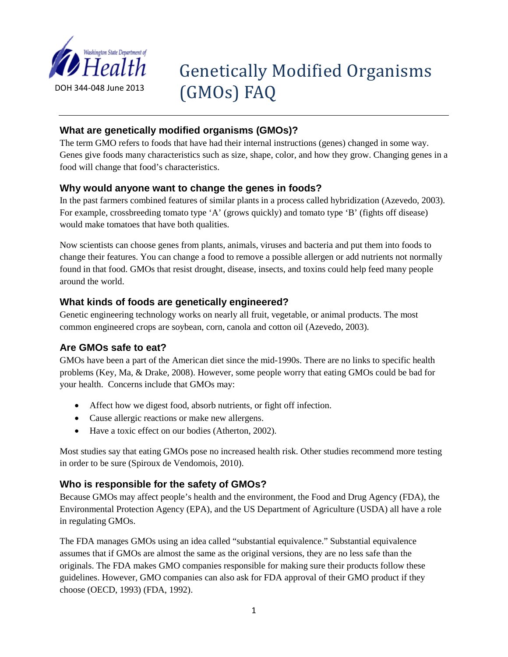

# Genetically Modified Organisms (GMOs) FAQ

## **What are genetically modified organisms (GMOs)?**

The term GMO refers to foods that have had their internal instructions (genes) changed in some way. Genes give foods many characteristics such as size, shape, color, and how they grow. Changing genes in a food will change that food's characteristics.

## **Why would anyone want to change the genes in foods?**

In the past farmers combined features of similar plants in a process called hybridization (Azevedo, 2003). For example, crossbreeding tomato type 'A' (grows quickly) and tomato type 'B' (fights off disease) would make tomatoes that have both qualities.

Now scientists can choose genes from plants, animals, viruses and bacteria and put them into foods to change their features. You can change a food to remove a possible allergen or add nutrients not normally found in that food. GMOs that resist drought, disease, insects, and toxins could help feed many people around the world.

### **What kinds of foods are genetically engineered?**

Genetic engineering technology works on nearly all fruit, vegetable, or animal products. The most common engineered crops are soybean, corn, canola and cotton oil (Azevedo, 2003).

## **Are GMOs safe to eat?**

GMOs have been a part of the American diet since the mid-1990s. There are no links to specific health problems (Key, Ma, & Drake, 2008). However, some people worry that eating GMOs could be bad for your health. Concerns include that GMOs may:

- Affect how we digest food, absorb nutrients, or fight off infection.
- Cause allergic reactions or make new allergens.
- Have a toxic effect on our bodies (Atherton, 2002).

Most studies say that eating GMOs pose no increased health risk. Other studies recommend more testing in order to be sure (Spiroux de Vendomois, 2010).

## **Who is responsible for the safety of GMOs?**

Because GMOs may affect people's health and the environment, the Food and Drug Agency (FDA), the Environmental Protection Agency (EPA), and the US Department of Agriculture (USDA) all have a role in regulating GMOs.

The FDA manages GMOs using an idea called "substantial equivalence." Substantial equivalence assumes that if GMOs are almost the same as the original versions, they are no less safe than the originals. The FDA makes GMO companies responsible for making sure their products follow these guidelines. However, GMO companies can also ask for FDA approval of their GMO product if they choose (OECD, 1993) (FDA, 1992).